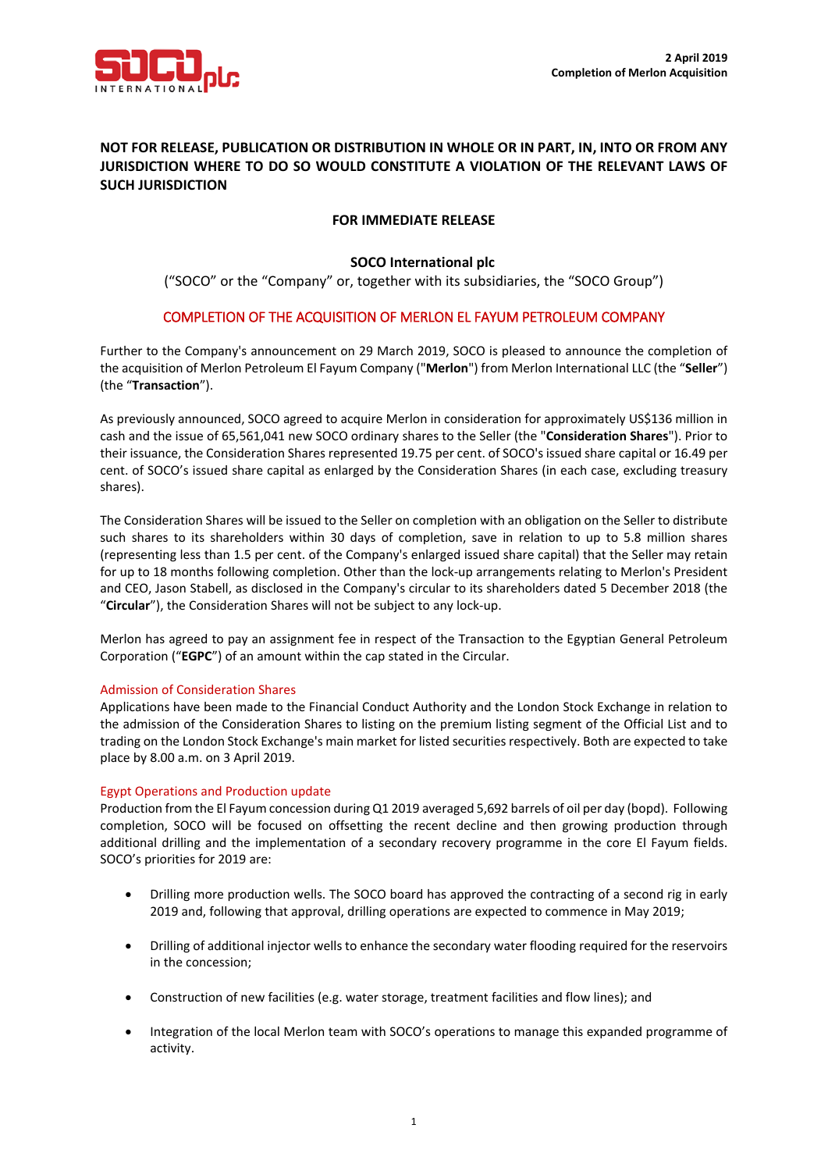

# **NOT FOR RELEASE, PUBLICATION OR DISTRIBUTION IN WHOLE OR IN PART, IN, INTO OR FROM ANY JURISDICTION WHERE TO DO SO WOULD CONSTITUTE A VIOLATION OF THE RELEVANT LAWS OF SUCH JURISDICTION**

# **FOR IMMEDIATE RELEASE**

## **SOCO International plc**

("SOCO" or the "Company" or, together with its subsidiaries, the "SOCO Group")

## COMPLETION OF THE ACQUISITION OF MERLON EL FAYUM PETROLEUM COMPANY

Further to the Company's announcement on 29 March 2019, SOCO is pleased to announce the completion of the acquisition of Merlon Petroleum El Fayum Company ("**Merlon**") from Merlon International LLC (the "**Seller**") (the "**Transaction**").

As previously announced, SOCO agreed to acquire Merlon in consideration for approximately US\$136 million in cash and the issue of 65,561,041 new SOCO ordinary shares to the Seller (the "**Consideration Shares**"). Prior to their issuance, the Consideration Shares represented 19.75 per cent. of SOCO's issued share capital or 16.49 per cent. of SOCO's issued share capital as enlarged by the Consideration Shares (in each case, excluding treasury shares).

The Consideration Shares will be issued to the Seller on completion with an obligation on the Seller to distribute such shares to its shareholders within 30 days of completion, save in relation to up to 5.8 million shares (representing less than 1.5 per cent. of the Company's enlarged issued share capital) that the Seller may retain for up to 18 months following completion. Other than the lock-up arrangements relating to Merlon's President and CEO, Jason Stabell, as disclosed in the Company's circular to its shareholders dated 5 December 2018 (the "**Circular**"), the Consideration Shares will not be subject to any lock-up.

Merlon has agreed to pay an assignment fee in respect of the Transaction to the Egyptian General Petroleum Corporation ("**EGPC**") of an amount within the cap stated in the Circular.

### Admission of Consideration Shares

Applications have been made to the Financial Conduct Authority and the London Stock Exchange in relation to the admission of the Consideration Shares to listing on the premium listing segment of the Official List and to trading on the London Stock Exchange's main market for listed securities respectively. Both are expected to take place by 8.00 a.m. on 3 April 2019.

### Egypt Operations and Production update

Production from the El Fayum concession during Q1 2019 averaged 5,692 barrels of oil per day (bopd). Following completion, SOCO will be focused on offsetting the recent decline and then growing production through additional drilling and the implementation of a secondary recovery programme in the core El Fayum fields. SOCO's priorities for 2019 are:

- Drilling more production wells. The SOCO board has approved the contracting of a second rig in early 2019 and, following that approval, drilling operations are expected to commence in May 2019;
- Drilling of additional injector wells to enhance the secondary water flooding required for the reservoirs in the concession;
- Construction of new facilities (e.g. water storage, treatment facilities and flow lines); and
- Integration of the local Merlon team with SOCO's operations to manage this expanded programme of activity.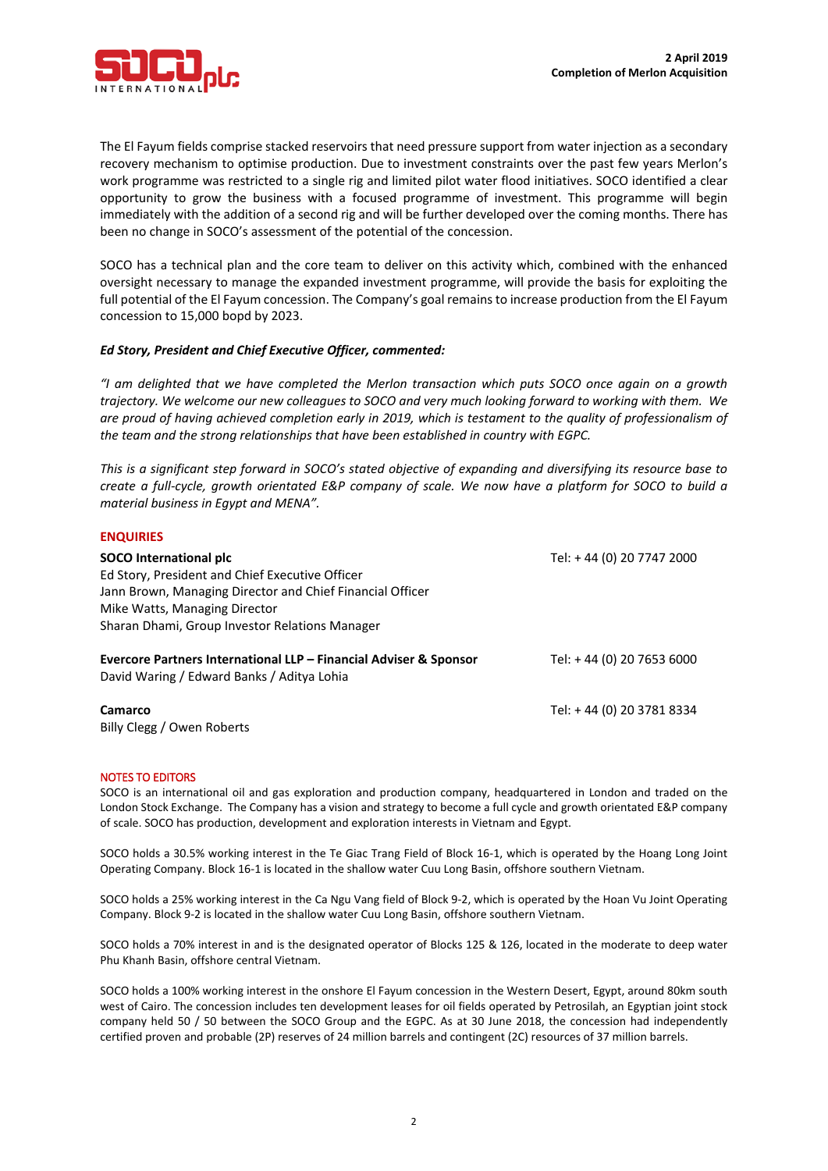

The El Fayum fields comprise stacked reservoirs that need pressure support from water injection as a secondary recovery mechanism to optimise production. Due to investment constraints over the past few years Merlon's work programme was restricted to a single rig and limited pilot water flood initiatives. SOCO identified a clear opportunity to grow the business with a focused programme of investment. This programme will begin immediately with the addition of a second rig and will be further developed over the coming months. There has been no change in SOCO's assessment of the potential of the concession.

SOCO has a technical plan and the core team to deliver on this activity which, combined with the enhanced oversight necessary to manage the expanded investment programme, will provide the basis for exploiting the full potential of the El Fayum concession. The Company's goal remains to increase production from the El Fayum concession to 15,000 bopd by 2023.

### *Ed Story, President and Chief Executive Officer, commented:*

*"I am delighted that we have completed the Merlon transaction which puts SOCO once again on a growth trajectory. We welcome our new colleagues to SOCO and very much looking forward to working with them. We are proud of having achieved completion early in 2019, which is testament to the quality of professionalism of the team and the strong relationships that have been established in country with EGPC.* 

*This is a significant step forward in SOCO's stated objective of expanding and diversifying its resource base to create a full-cycle, growth orientated E&P company of scale. We now have a platform for SOCO to build a material business in Egypt and MENA".*

| <b>ENQUIRIES</b>                                                  |                           |
|-------------------------------------------------------------------|---------------------------|
| SOCO International plc                                            | Tel: +44 (0) 20 7747 2000 |
| Ed Story, President and Chief Executive Officer                   |                           |
| Jann Brown, Managing Director and Chief Financial Officer         |                           |
| Mike Watts, Managing Director                                     |                           |
| Sharan Dhami, Group Investor Relations Manager                    |                           |
|                                                                   |                           |
| Evercore Partners International LLP - Financial Adviser & Sponsor | Tel: +44 (0) 20 7653 6000 |
| David Waring / Edward Banks / Aditya Lohia                        |                           |
|                                                                   |                           |
| Camarco                                                           | Tel: +44 (0) 20 3781 8334 |
| Billy Clegg / Owen Roberts                                        |                           |

#### NOTES TO EDITORS

**ENQUIRIES**

SOCO is an international oil and gas exploration and production company, headquartered in London and traded on the London Stock Exchange. The Company has a vision and strategy to become a full cycle and growth orientated E&P company of scale. SOCO has production, development and exploration interests in Vietnam and Egypt.

SOCO holds a 30.5% working interest in the Te Giac Trang Field of Block 16-1, which is operated by the Hoang Long Joint Operating Company. Block 16-1 is located in the shallow water Cuu Long Basin, offshore southern Vietnam.

SOCO holds a 25% working interest in the Ca Ngu Vang field of Block 9-2, which is operated by the Hoan Vu Joint Operating Company. Block 9-2 is located in the shallow water Cuu Long Basin, offshore southern Vietnam.

SOCO holds a 70% interest in and is the designated operator of Blocks 125 & 126, located in the moderate to deep water Phu Khanh Basin, offshore central Vietnam.

SOCO holds a 100% working interest in the onshore El Fayum concession in the Western Desert, Egypt, around 80km south west of Cairo. The concession includes ten development leases for oil fields operated by Petrosilah, an Egyptian joint stock company held 50 / 50 between the SOCO Group and the EGPC. As at 30 June 2018, the concession had independently certified proven and probable (2P) reserves of 24 million barrels and contingent (2C) resources of 37 million barrels.